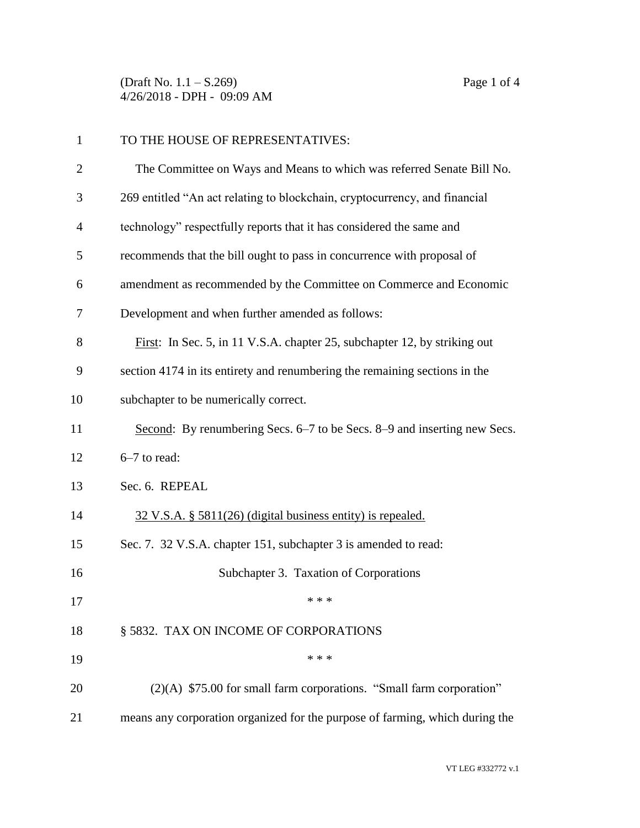(Draft No. 1.1 – S.269) Page 1 of 4 4/26/2018 - DPH - 09:09 AM

| $\mathbf{1}$   | TO THE HOUSE OF REPRESENTATIVES:                                             |
|----------------|------------------------------------------------------------------------------|
| $\overline{2}$ | The Committee on Ways and Means to which was referred Senate Bill No.        |
| 3              | 269 entitled "An act relating to blockchain, cryptocurrency, and financial   |
| 4              | technology" respectfully reports that it has considered the same and         |
| 5              | recommends that the bill ought to pass in concurrence with proposal of       |
| 6              | amendment as recommended by the Committee on Commerce and Economic           |
| 7              | Development and when further amended as follows:                             |
| 8              | First: In Sec. 5, in 11 V.S.A. chapter 25, subchapter 12, by striking out    |
| 9              | section 4174 in its entirety and renumbering the remaining sections in the   |
| 10             | subchapter to be numerically correct.                                        |
| 11             | Second: By renumbering Secs. 6–7 to be Secs. 8–9 and inserting new Secs.     |
| 12             | 6-7 to read:                                                                 |
| 13             | Sec. 6. REPEAL                                                               |
| 14             | $32 \text{ V.S.A. }$ § 5811(26) (digital business entity) is repealed.       |
| 15             | Sec. 7. 32 V.S.A. chapter 151, subchapter 3 is amended to read:              |
| 16             | Subchapter 3. Taxation of Corporations                                       |
| 17             | * * *                                                                        |
| 18             | § 5832. TAX ON INCOME OF CORPORATIONS                                        |
| 19             | * * *                                                                        |
| 20             | $(2)(A)$ \$75.00 for small farm corporations. "Small farm corporation"       |
| 21             | means any corporation organized for the purpose of farming, which during the |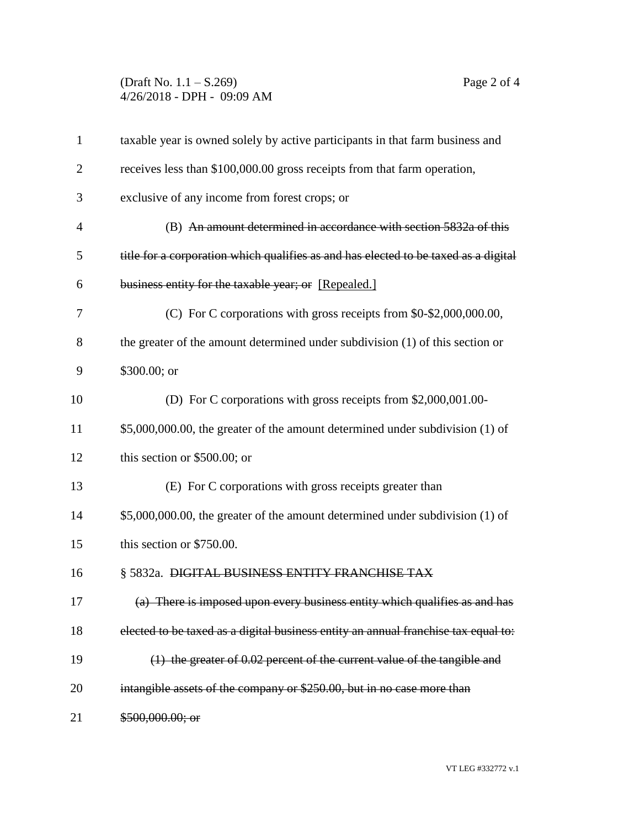(Draft No. 1.1 – S.269) Page 2 of 4 4/26/2018 - DPH - 09:09 AM

| $\mathbf{1}$   | taxable year is owned solely by active participants in that farm business and       |
|----------------|-------------------------------------------------------------------------------------|
| $\overline{2}$ | receives less than \$100,000.00 gross receipts from that farm operation,            |
| 3              | exclusive of any income from forest crops; or                                       |
| 4              | (B) An amount determined in accordance with section 5832a of this                   |
| 5              | title for a corporation which qualifies as and has elected to be taxed as a digital |
| 6              | business entity for the taxable year; or [Repealed.]                                |
| 7              | (C) For C corporations with gross receipts from \$0-\$2,000,000.00,                 |
| 8              | the greater of the amount determined under subdivision (1) of this section or       |
| 9              | \$300.00; or                                                                        |
| 10             | (D) For C corporations with gross receipts from \$2,000,001.00-                     |
| 11             | \$5,000,000.00, the greater of the amount determined under subdivision (1) of       |
| 12             | this section or $$500.00$ ; or                                                      |
| 13             | (E) For C corporations with gross receipts greater than                             |
| 14             | \$5,000,000.00, the greater of the amount determined under subdivision (1) of       |
| 15             | this section or \$750.00.                                                           |
| 16             | § 5832a. DIGITAL BUSINESS ENTITY FRANCHISE TAX                                      |
| 17             | (a) There is imposed upon every business entity which qualifies as and has          |
| 18             | elected to be taxed as a digital business entity an annual franchise tax equal to:  |
| 19             | (1) the greater of 0.02 percent of the current value of the tangible and            |
| 20             | intangible assets of the company or \$250.00, but in no case more than              |
| 21             | \$500,000.00; or                                                                    |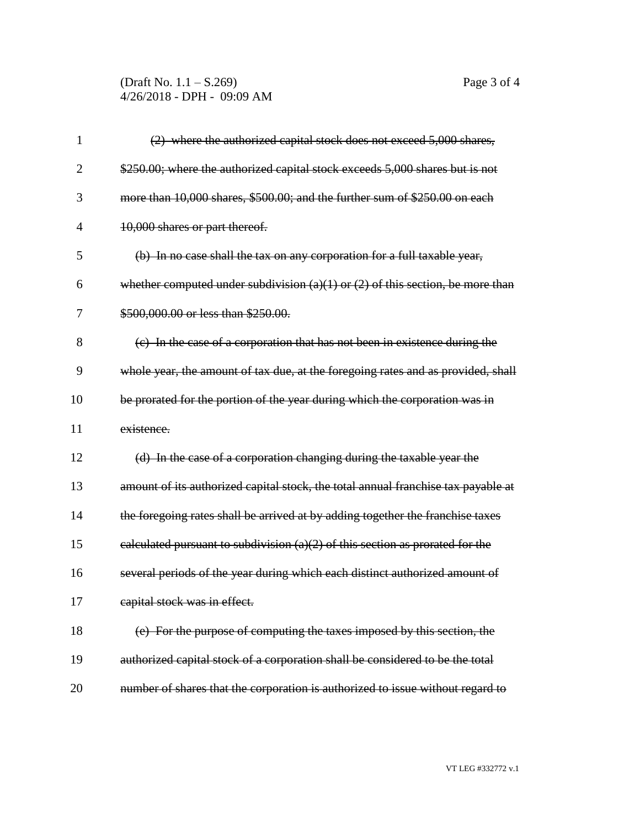(Draft No. 1.1 – S.269) Page 3 of 4 4/26/2018 - DPH - 09:09 AM

| 1              | (2) where the authorized capital stock does not exceed 5,000 shares,               |
|----------------|------------------------------------------------------------------------------------|
| $\overline{2}$ | \$250.00; where the authorized capital stock exceeds 5,000 shares but is not       |
| 3              | more than 10,000 shares, \$500.00; and the further sum of \$250.00 on each         |
| $\overline{4}$ | 10,000 shares or part thereof.                                                     |
| 5              | (b) In no case shall the tax on any corporation for a full taxable year,           |
| 6              | whether computed under subdivision $(a)(1)$ or $(2)$ of this section, be more than |
| 7              | \$500,000.00 or less than \$250.00.                                                |
| 8              | (c) In the case of a corporation that has not been in existence during the         |
| 9              | whole year, the amount of tax due, at the foregoing rates and as provided, shall   |
| 10             | be prorated for the portion of the year during which the corporation was in        |
| 11             | existence.                                                                         |
| 12             | (d) In the case of a corporation changing during the taxable year the              |
| 13             | amount of its authorized capital stock, the total annual franchise tax payable at  |
| 14             | the foregoing rates shall be arrived at by adding together the franchise taxes     |
| 15             | calculated pursuant to subdivision $(a)(2)$ of this section as prorated for the    |
| 16             | several periods of the year during which each distinct authorized amount of        |
| 17             | capital stock was in effect.                                                       |
| 18             | (e) For the purpose of computing the taxes imposed by this section, the            |
| 19             | authorized capital stock of a corporation shall be considered to be the total      |
| 20             | number of shares that the corporation is authorized to issue without regard to     |